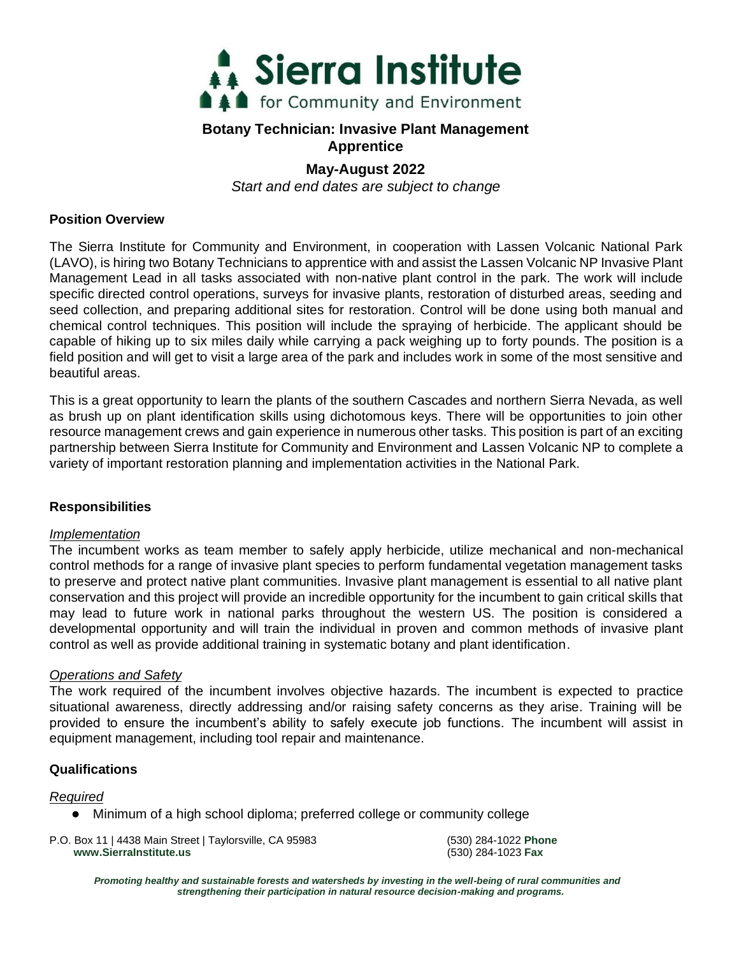

# **Botany Technician: Invasive Plant Management Apprentice**

# **May-August 2022**

*Start and end dates are subject to change*

### **Position Overview**

The Sierra Institute for Community and Environment, in cooperation with Lassen Volcanic National Park (LAVO), is hiring two Botany Technicians to apprentice with and assist the Lassen Volcanic NP Invasive Plant Management Lead in all tasks associated with non-native plant control in the park. The work will include specific directed control operations, surveys for invasive plants, restoration of disturbed areas, seeding and seed collection, and preparing additional sites for restoration. Control will be done using both manual and chemical control techniques. This position will include the spraying of herbicide. The applicant should be capable of hiking up to six miles daily while carrying a pack weighing up to forty pounds. The position is a field position and will get to visit a large area of the park and includes work in some of the most sensitive and beautiful areas.

This is a great opportunity to learn the plants of the southern Cascades and northern Sierra Nevada, as well as brush up on plant identification skills using dichotomous keys. There will be opportunities to join other resource management crews and gain experience in numerous other tasks. This position is part of an exciting partnership between Sierra Institute for Community and Environment and Lassen Volcanic NP to complete a variety of important restoration planning and implementation activities in the National Park.

## **Responsibilities**

#### *Implementation*

The incumbent works as team member to safely apply herbicide, utilize mechanical and non-mechanical control methods for a range of invasive plant species to perform fundamental vegetation management tasks to preserve and protect native plant communities. Invasive plant management is essential to all native plant conservation and this project will provide an incredible opportunity for the incumbent to gain critical skills that may lead to future work in national parks throughout the western US. The position is considered a developmental opportunity and will train the individual in proven and common methods of invasive plant control as well as provide additional training in systematic botany and plant identification.

#### *Operations and Safety*

The work required of the incumbent involves objective hazards. The incumbent is expected to practice situational awareness, directly addressing and/or raising safety concerns as they arise. Training will be provided to ensure the incumbent's ability to safely execute job functions. The incumbent will assist in equipment management, including tool repair and maintenance.

#### **Qualifications**

#### *Required*

Minimum of a high school diploma; preferred college or community college

 P.O. Box 11 | 4438 Main Street | Taylorsville, CA 95983 (530) 284-1022 **Phone www.SierraInstitute.us** (530) 284-1023 **Fax**

*Promoting healthy and sustainable forests and watersheds by investing in the well-being of rural communities and strengthening their participation in natural resource decision-making and programs.*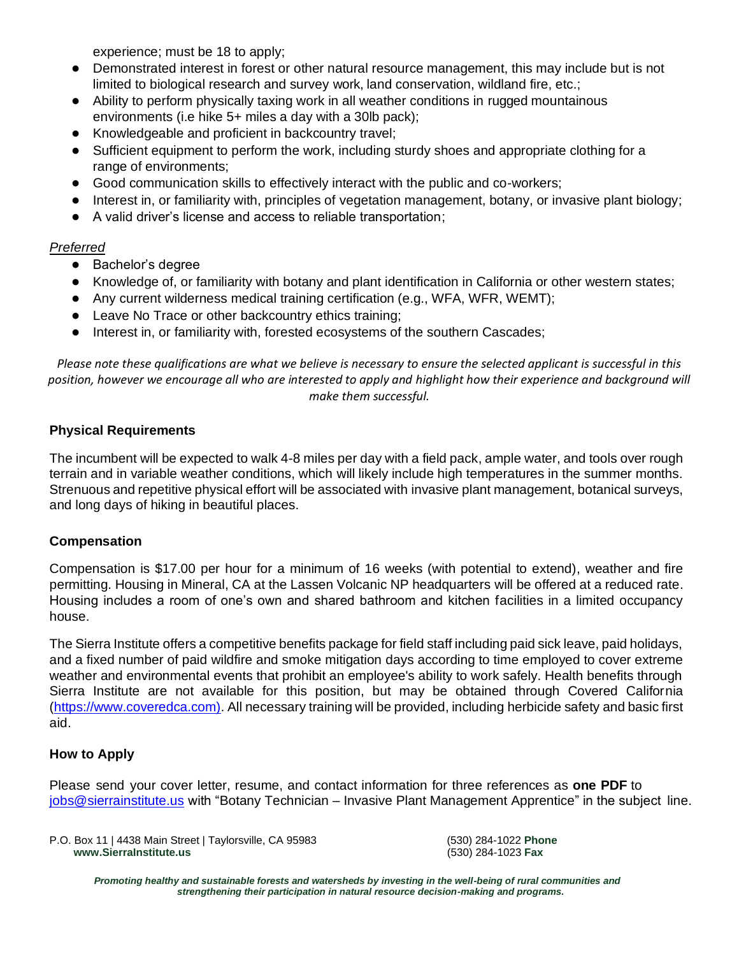experience; must be 18 to apply;

- Demonstrated interest in forest or other natural resource management, this may include but is not limited to biological research and survey work, land conservation, wildland fire, etc.;
- Ability to perform physically taxing work in all weather conditions in rugged mountainous environments (i.e hike 5+ miles a day with a 30lb pack);
- Knowledgeable and proficient in backcountry travel;
- Sufficient equipment to perform the work, including sturdy shoes and appropriate clothing for a range of environments;
- Good communication skills to effectively interact with the public and co-workers;
- Interest in, or familiarity with, principles of vegetation management, botany, or invasive plant biology;
- A valid driver's license and access to reliable transportation;

# *Preferred*

- Bachelor's degree
- Knowledge of, or familiarity with botany and plant identification in California or other western states;
- Any current wilderness medical training certification (e.g., WFA, WFR, WEMT);
- Leave No Trace or other backcountry ethics training;
- Interest in, or familiarity with, forested ecosystems of the southern Cascades;

*Please note these qualifications are what we believe is necessary to ensure the selected applicant is successful in this*  position, however we encourage all who are interested to apply and highlight how their experience and background will *make them successful.*

# **Physical Requirements**

The incumbent will be expected to walk 4-8 miles per day with a field pack, ample water, and tools over rough terrain and in variable weather conditions, which will likely include high temperatures in the summer months. Strenuous and repetitive physical effort will be associated with invasive plant management, botanical surveys, and long days of hiking in beautiful places.

## **Compensation**

Compensation is \$17.00 per hour for a minimum of 16 weeks (with potential to extend), weather and fire permitting. Housing in Mineral, CA at the Lassen Volcanic NP headquarters will be offered at a reduced rate. Housing includes a room of one's own and shared bathroom and kitchen facilities in a limited occupancy house.

The Sierra Institute offers a competitive benefits package for field staff including paid sick leave, paid holidays, and a fixed number of paid wildfire and smoke mitigation days according to time employed to cover extreme weather and environmental events that prohibit an employee's ability to work safely. Health benefits through Sierra Institute are not available for this position, but may be obtained through Covered California [\(https://www.coveredca.com\).](https://www.coveredca.com/) All necessary training will be provided, including herbicide safety and basic first aid.

## **How to Apply**

Please send your cover letter, resume, and contact information for three references as **one PDF** to [jobs@sierrainstitute.us](mailto:jobs@sierrainstitute.us) with "Botany Technician – Invasive Plant Management Apprentice" in the subject line.

 P.O. Box 11 | 4438 Main Street | Taylorsville, CA 95983 (530) 284-1022 **Phone www.SierraInstitute.us** (530) 284-1023 **Fax**

*Promoting healthy and sustainable forests and watersheds by investing in the well-being of rural communities and strengthening their participation in natural resource decision-making and programs.*